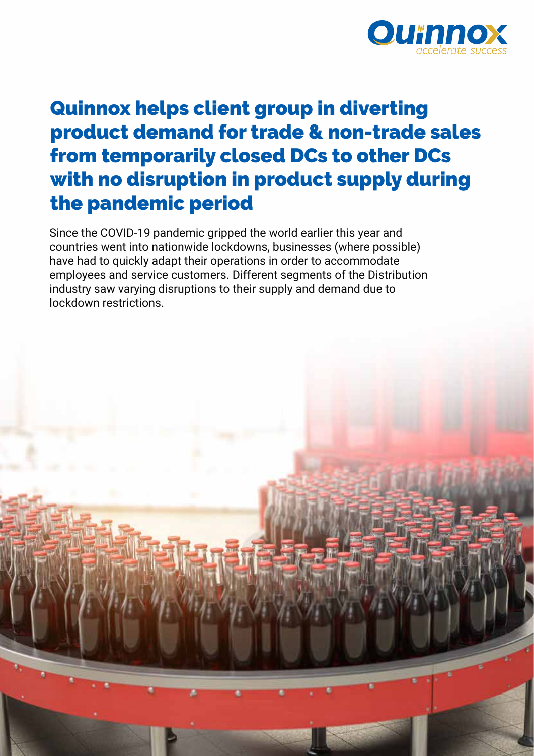

# Quinnox helps client group in diverting product demand for trade & non-trade sales from temporarily closed DCs to other DCs with no disruption in product supply during the pandemic period

Since the COVID-19 pandemic gripped the world earlier this year and countries went into nationwide lockdowns, businesses (where possible) have had to quickly adapt their operations in order to accommodate employees and service customers. Different segments of the Distribution industry saw varying disruptions to their supply and demand due to lockdown restrictions.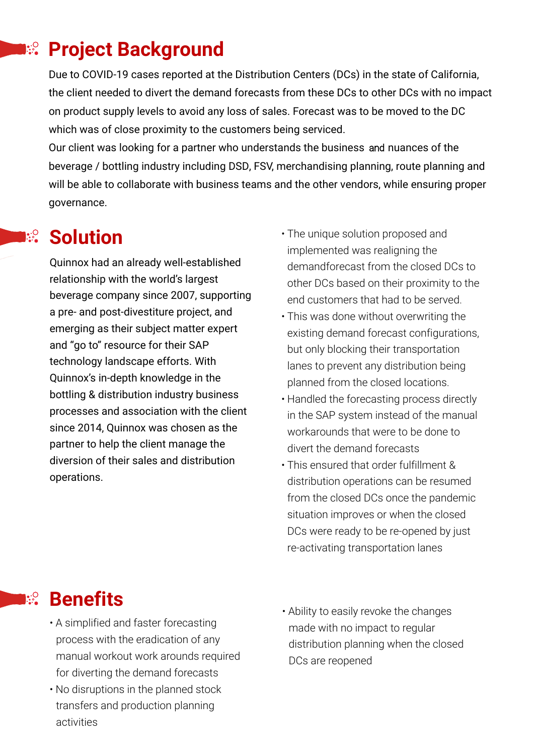## $\blacksquare$ **Project Background**

Due to COVID-19 cases reported at the Distribution Centers (DCs) in the state of California, the client needed to divert the demand forecasts from these DCs to other DCs with no impact on product supply levels to avoid any loss of sales. Forecast was to be moved to the DC which was of close proximity to the customers being serviced.

Our client was looking for a partner who understands the business and nuances of the beverage / bottling industry including DSD, FSV, merchandising planning, route planning and will be able to collaborate with business teams and the other vendors, while ensuring proper governance.

#### **Solution**  $\mathbb{R}^{\mathcal{O}}$

Quinnox had an already well-established relationship with the world's largest beverage company since 2007, supporting a pre- and post-divestiture project, and emerging as their subject matter expert and "go to" resource for their SAP technology landscape efforts. With Quinnox's in-depth knowledge in the bottling & distribution industry business processes and association with the client since 2014, Quinnox was chosen as the partner to help the client manage the diversion of their sales and distribution operations.

- The unique solution proposed and implemented was realigning the demandforecast from the closed DCs to other DCs based on their proximity to the end customers that had to be served.
- This was done without overwriting the existing demand forecast configurations, but only blocking their transportation lanes to prevent any distribution being planned from the closed locations.
- Handled the forecasting process directly in the SAP system instead of the manual workarounds that were to be done to divert the demand forecasts
- This ensured that order fulfillment & distribution operations can be resumed from the closed DCs once the pandemic situation improves or when the closed DCs were ready to be re-opened by just re-activating transportation lanes

## **Benefits**  $\mathbb{R}^{\mathcal{O}}$

- A simplified and faster forecasting process with the eradication of any manual workout work arounds required for diverting the demand forecasts
- No disruptions in the planned stock transfers and production planning activities
- Ability to easily revoke the changes made with no impact to regular distribution planning when the closed DCs are reopened